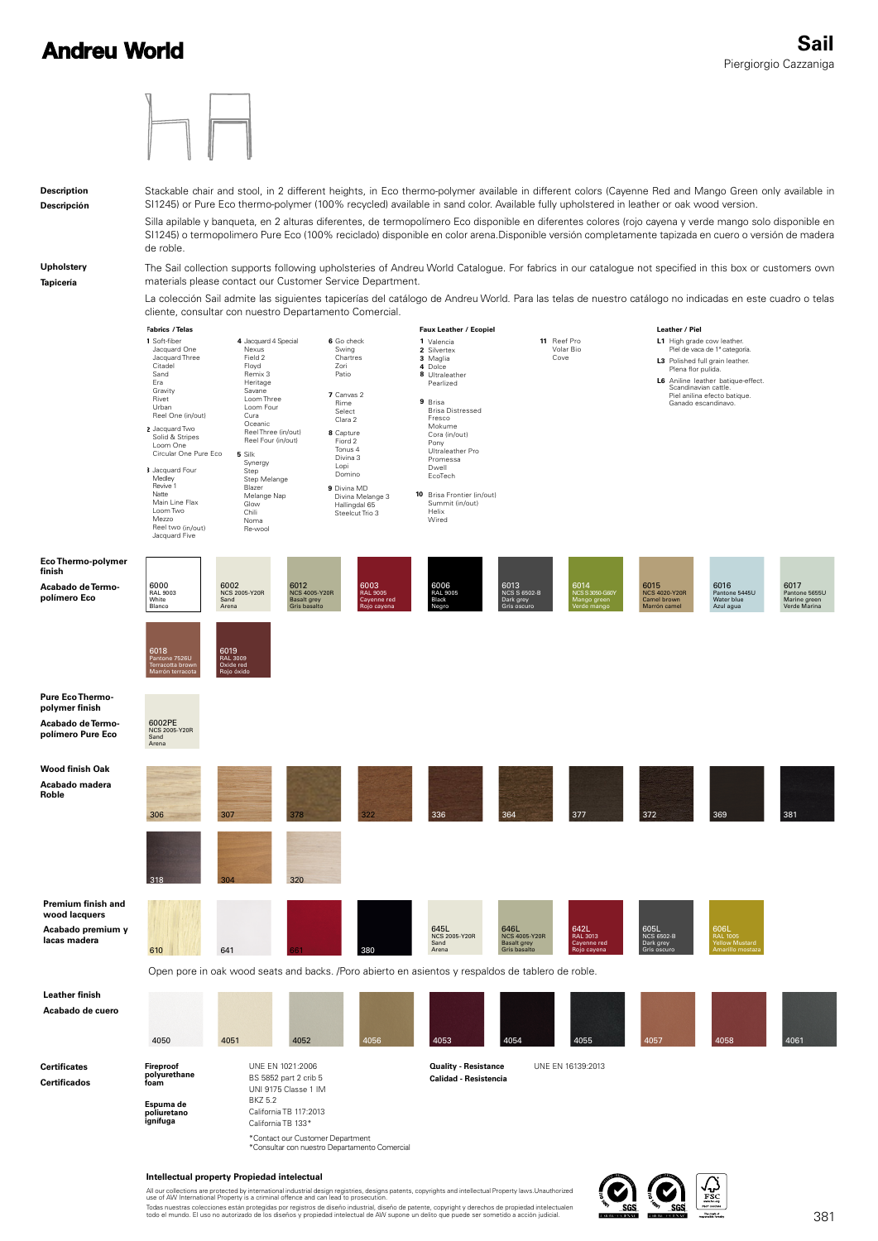



### **Intellectual property Propiedad intelectual**

All our collections are protected by international industrial design registries, designs patents, copyrights and intellectual Property laws.Unauthorized<br>use of AW International Property is a criminal offence and can lead t Todas nuestras colecciones están protegidas por registros de diseño industrial, diseño de patente, copyright y derechos de propiedad intelectualen<br>todo el mundo. El uso no autorizado de los diseños y propiedad intelectual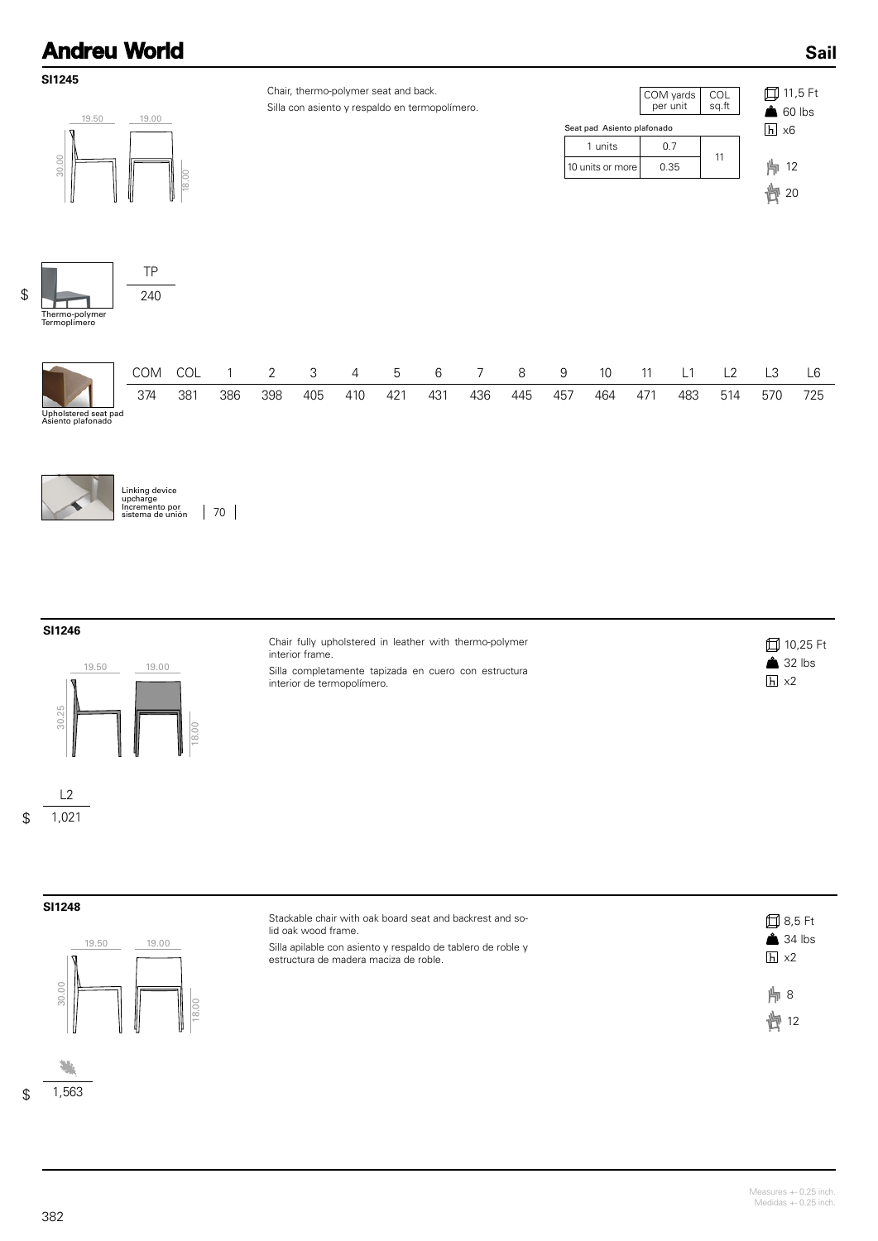

### **SI1246**



interior frame. Silla completamente tapizada en cuero con estructura interior de termopolímero.

Chair fully upholstered in leather with thermo-polymer

| □ 10,25 Ft         |  |
|--------------------|--|
| $\triangle$ 32 lbs |  |
| $ h  \times 2$     |  |

| . .<br>$2^{\prime}$<br>م1⊪ |
|----------------------------|
|----------------------------|

1,021

\$



| $\overline{0}$ | Stackable chair with oak board seat and backrest and so-<br>lid oak wood frame.<br>Silla apilable con asiento y respaldo de tablero de roble y<br>estructura de madera maciza de roble. | 口 8,5 Ft<br>$34$ lbs<br>$h \times 2$ |
|----------------|-----------------------------------------------------------------------------------------------------------------------------------------------------------------------------------------|--------------------------------------|
| ║<br>18.00     |                                                                                                                                                                                         | 片8<br>恂 12                           |

\$ 1,563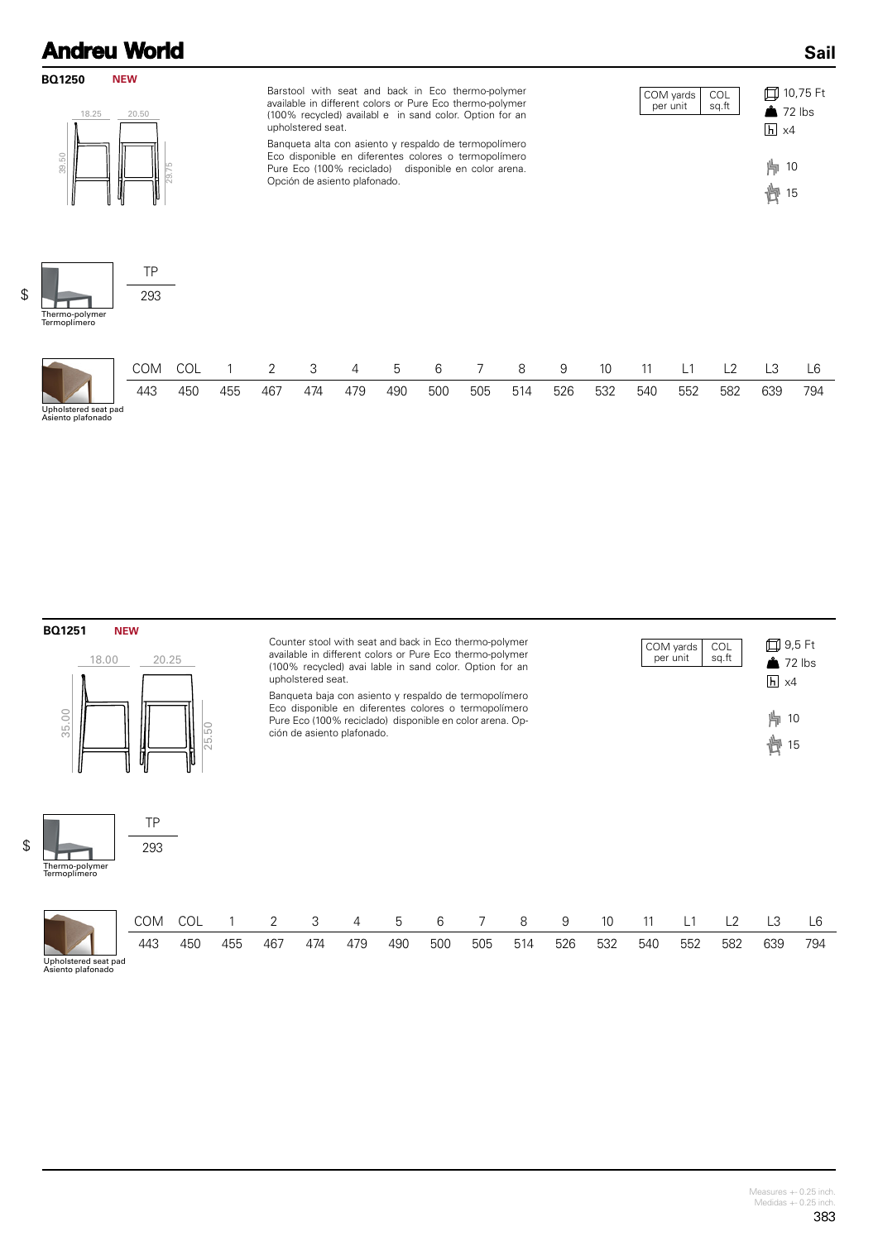### **Sail**



**BQ1251 NEW**



TP 293 Counter stool with seat and back in Eco thermo-polymer available in different colors or Pure Eco thermo-polymer (100% recycled) avai lable in sand color. Option for an upholstered seat.

Banqueta baja con asiento y respaldo de termopolímero Eco disponible en diferentes colores o termopolímero Pure Eco (100% reciclado) disponible en color arena. Opción de asiento plafonado.

COM COL 1 2 3 4 5 6 7 8 9 10 11 L1 L2 L3 L6 443 450 455 467 474 479 490 500 505 514 526 532 540 552 582 639 794

9,5 Ft  $2$  lbs  $h \times 4$ | 10 COM yards per unit COL sq.ft

廿 15

Thermo-polymer Termoplímero

\$

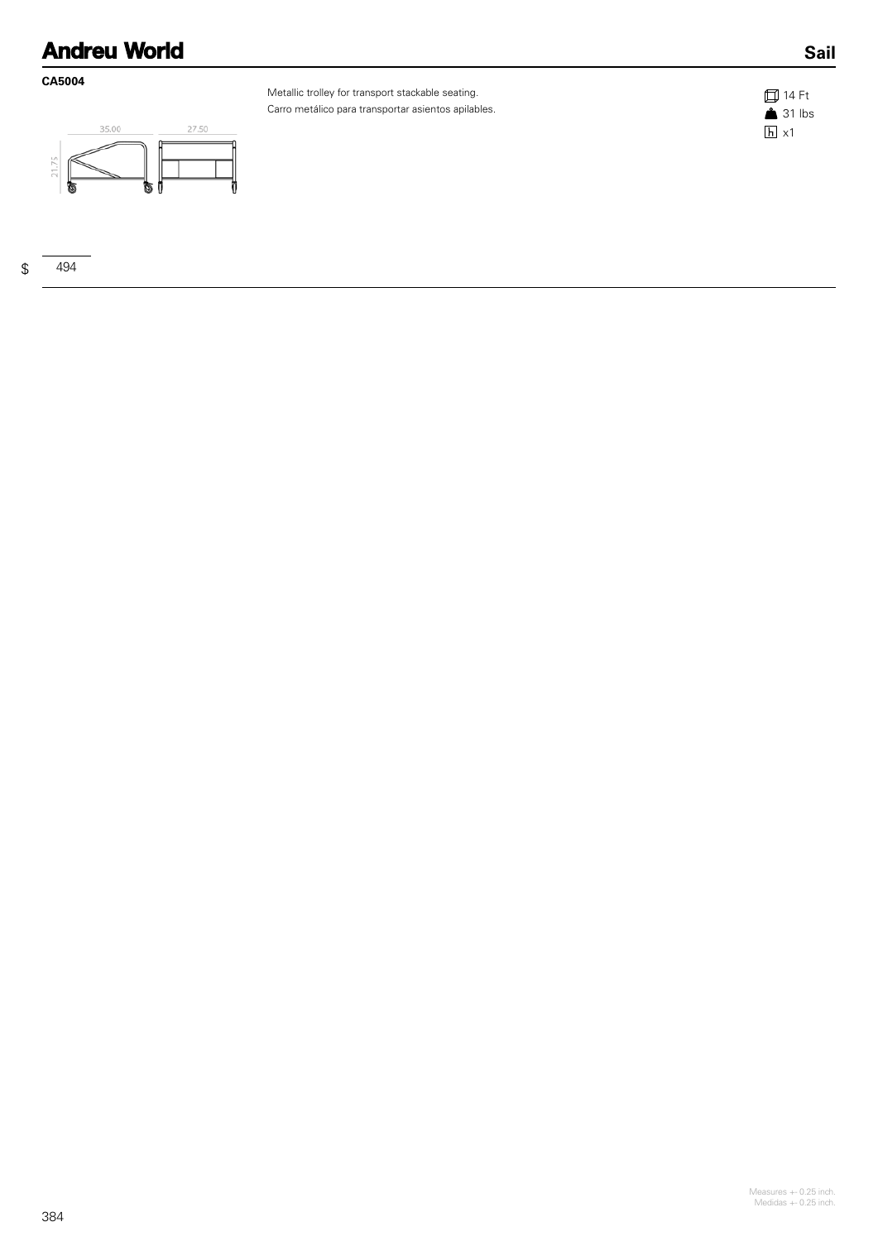### **CA5004**



Metallic trolley for transport stackable seating. Carro metálico para transportar asientos apilables.



**Sail**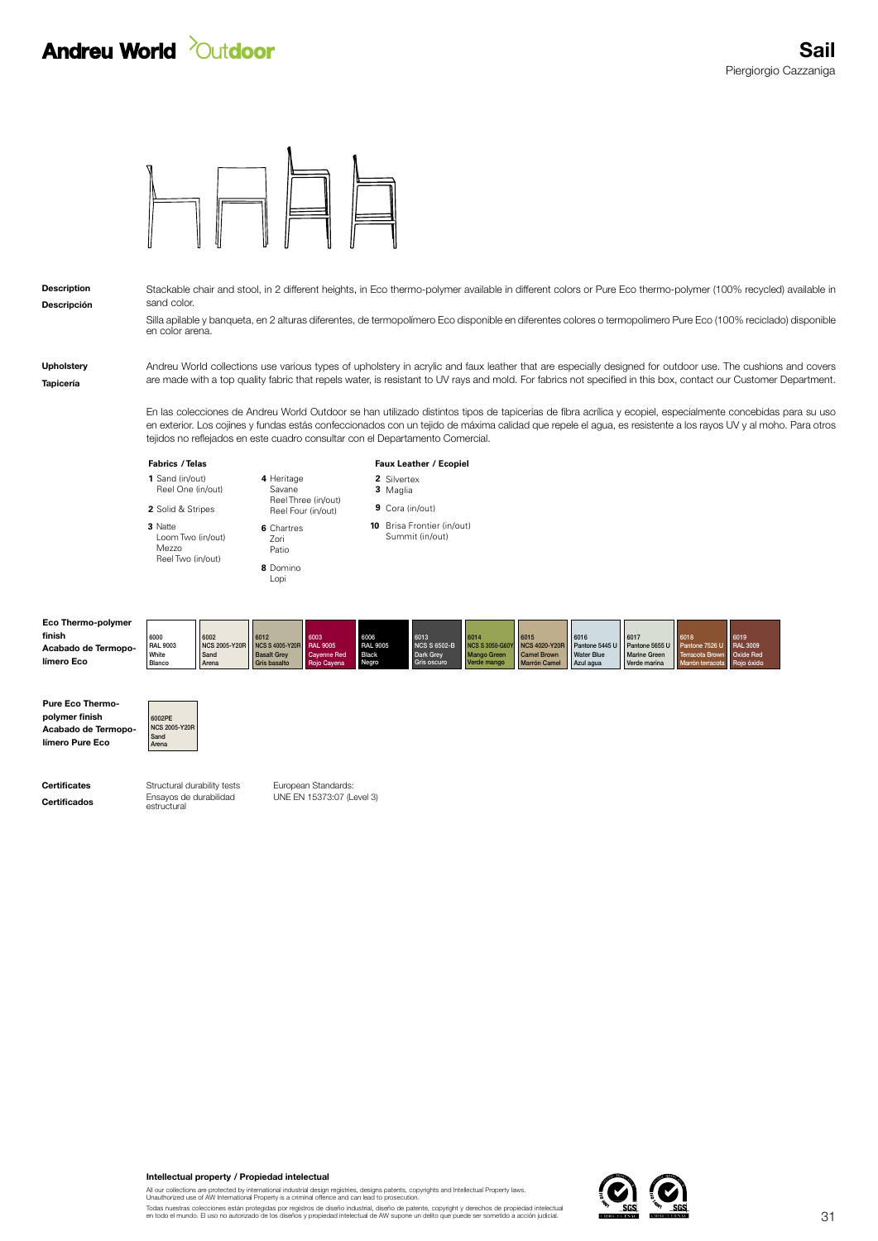## **Andreu World** *Quidoor*



Descripción Description Stackable chair and stool, in 2 different heights, in Eco thermo-polymer available in different colors or Pure Eco thermo-polymer (100% recycled) available in sand color.

> Silla apilable y banqueta, en 2 alturas diferentes, de termopolímero Eco disponible en diferentes colores o termopolimero Pure Eco (100% reciclado) disponible en color arena.

Andreu World collections use various types of upholstery in acrylic and faux leather that are especially designed for outdoor use. The cushions and covers are made with a top quality fabric that repels water, is resistant to UV rays and mold. For fabrics not specified in this box, contact our Customer Department.

En las colecciones de Andreu World Outdoor se han utilizado distintos tipos de tapicerías de fibra acrílica y ecopiel, especialmente concebidas para su uso en exterior. Los cojines y fundas estás confeccionados con un tejido de máxima calidad que repele el agua, es resistente a los rayos UV y al moho. Para otros tejidos no reflejados en este cuadro consultar con el Departamento Comercial.

|                                                                   | <b>Fabrics / Telas</b>                                     |                                               |                                                                             |                                                              | Faux Leather / Ecopiel                           |                         |                                                         |                                                                     |                                                                           |                                                          |                                                               |                                                                                    |                         |  |
|-------------------------------------------------------------------|------------------------------------------------------------|-----------------------------------------------|-----------------------------------------------------------------------------|--------------------------------------------------------------|--------------------------------------------------|-------------------------|---------------------------------------------------------|---------------------------------------------------------------------|---------------------------------------------------------------------------|----------------------------------------------------------|---------------------------------------------------------------|------------------------------------------------------------------------------------|-------------------------|--|
|                                                                   | 1 Sand (in/out)<br>Reel One (in/out)                       |                                               | 4 Heritage<br>Savane                                                        |                                                              |                                                  | 2 Silvertex<br>3 Maglia |                                                         |                                                                     |                                                                           |                                                          |                                                               |                                                                                    |                         |  |
|                                                                   | 2 Solid & Stripes                                          |                                               | Reel Three (in/out)<br>Reel Four (in/out)                                   |                                                              |                                                  | 9 Cora (in/out)         |                                                         |                                                                     |                                                                           |                                                          |                                                               |                                                                                    |                         |  |
|                                                                   | 3 Natte<br>Loom Two (in/out)<br>Mezzo<br>Reel Two (in/out) |                                               | 6 Chartres<br>Zori<br>Patio<br>8 Domino<br>Lopi                             |                                                              |                                                  |                         | <b>10</b> Brisa Frontier (in/out)<br>Summit (in/out)    |                                                                     |                                                                           |                                                          |                                                               |                                                                                    |                         |  |
| Eco Thermo-polymer<br>finish<br>Acabado de Termopo-<br>límero Eco | 6000<br><b>RAL 9003</b><br>White<br>Blanco                 | 6002<br><b>NCS 2005-Y20R</b><br>Sand<br>Arena | 6012<br><b>NCS S 4005-Y20R</b><br><b>Basalt Grey</b><br><b>Gris basalto</b> | 6003<br><b>RAL 9005</b><br><b>Cayenne Red</b><br>Rojo Cayena | 6006<br><b>RAL 9005</b><br><b>Black</b><br>Negro |                         | 6013<br><b>NCS S 6502-B</b><br>Dark Grey<br>Gris oscuro | 6014<br><b>NCS S 3050-G60Y</b><br><b>Mango Green</b><br>Verde mango | 6015<br><b>NCS 4020-Y20R</b><br><b>Camel Brown</b><br><b>Marrón Camel</b> | 6016<br>Pantone 5445 U<br><b>Water Blue</b><br>Azul agua | 6017<br>Pantone 5655 U<br><b>Marine Green</b><br>Verde marina | 6018<br>Pantone 7526 U<br>Terracota Brown Oxide Red<br>Marrón terracota Rojo óxido | 6019<br><b>RAL 3009</b> |  |

Acabado de Termopolímero Pure Eco Pure Eco Thermopolymer finish

Tapicería

Upholstery



**Certificados** Ensayos de durabilidad<br>estructural Certificates **Structural durability tests** 

European Standards: UNE EN 15373:07 (Level 3)

All our collections are protected by international industrial design registries, designs patents, copyrights and Intellectual Property laws.<br>Unauthorized use of AW International Property is a criminal offence and can lead

Todas nuestras colecciones están protegidas por registros de diseño industrial, diseño de patente, copyright y derechos de propiedad intelectual<br>en todo el mundo. El uso no autorizado de los diseños y propiedad intelectual